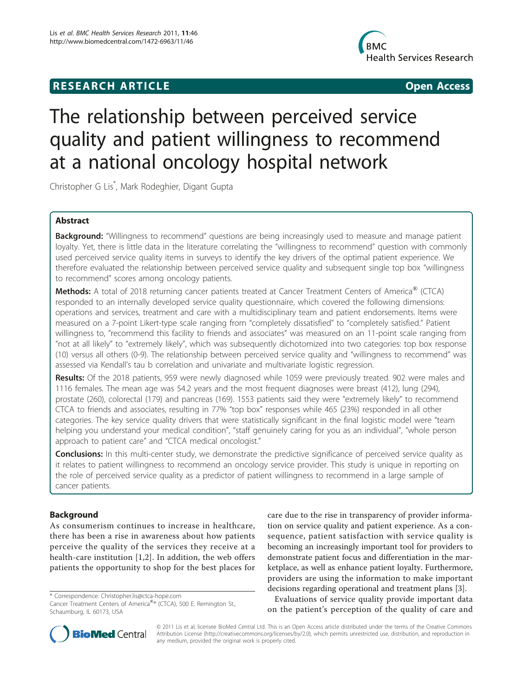## **RESEARCH ARTICLE CONSUMING ACCESS**



# The relationship between perceived service quality and patient willingness to recommend at a national oncology hospital network

Christopher G Lis\* , Mark Rodeghier, Digant Gupta

## Abstract

Background: "Willingness to recommend" questions are being increasingly used to measure and manage patient loyalty. Yet, there is little data in the literature correlating the "willingness to recommend" question with commonly used perceived service quality items in surveys to identify the key drivers of the optimal patient experience. We therefore evaluated the relationship between perceived service quality and subsequent single top box "willingness to recommend" scores among oncology patients.

Methods: A total of 2018 returning cancer patients treated at Cancer Treatment Centers of America® (CTCA) responded to an internally developed service quality questionnaire, which covered the following dimensions: operations and services, treatment and care with a multidisciplinary team and patient endorsements. Items were measured on a 7-point Likert-type scale ranging from "completely dissatisfied" to "completely satisfied." Patient willingness to, "recommend this facility to friends and associates" was measured on an 11-point scale ranging from "not at all likely" to "extremely likely", which was subsequently dichotomized into two categories: top box response (10) versus all others (0-9). The relationship between perceived service quality and "willingness to recommend" was assessed via Kendall's tau b correlation and univariate and multivariate logistic regression.

Results: Of the 2018 patients, 959 were newly diagnosed while 1059 were previously treated. 902 were males and 1116 females. The mean age was 54.2 years and the most frequent diagnoses were breast (412), lung (294), prostate (260), colorectal (179) and pancreas (169). 1553 patients said they were "extremely likely" to recommend CTCA to friends and associates, resulting in 77% "top box" responses while 465 (23%) responded in all other categories. The key service quality drivers that were statistically significant in the final logistic model were "team helping you understand your medical condition", "staff genuinely caring for you as an individual", "whole person approach to patient care" and "CTCA medical oncologist."

**Conclusions:** In this multi-center study, we demonstrate the predictive significance of perceived service quality as it relates to patient willingness to recommend an oncology service provider. This study is unique in reporting on the role of perceived service quality as a predictor of patient willingness to recommend in a large sample of cancer patients.

## Background

As consumerism continues to increase in healthcare, there has been a rise in awareness about how patients perceive the quality of the services they receive at a health-care institution [\[1,2\]](#page-6-0). In addition, the web offers patients the opportunity to shop for the best places for

\* Correspondence: [Christopher.lis@ctca-hope.com](mailto:Christopher.lis@ctca-hope.com)

care due to the rise in transparency of provider information on service quality and patient experience. As a consequence, patient satisfaction with service quality is becoming an increasingly important tool for providers to demonstrate patient focus and differentiation in the marketplace, as well as enhance patient loyalty. Furthermore, providers are using the information to make important decisions regarding operational and treatment plans [[3](#page-6-0)].

Evaluations of service quality provide important data on the patient's perception of the quality of care and



© 2011 Lis et al; licensee BioMed Central Ltd. This is an Open Access article distributed under the terms of the Creative Commons Attribution License [\(http://creativecommons.org/licenses/by/2.0](http://creativecommons.org/licenses/by/2.0)), which permits unrestricted use, distribution, and reproduction in any medium, provided the original work is properly cited.

Cancer Treatment Centers of America®® (CTCA), 500 E. Remington St., Schaumburg, IL 60173, USA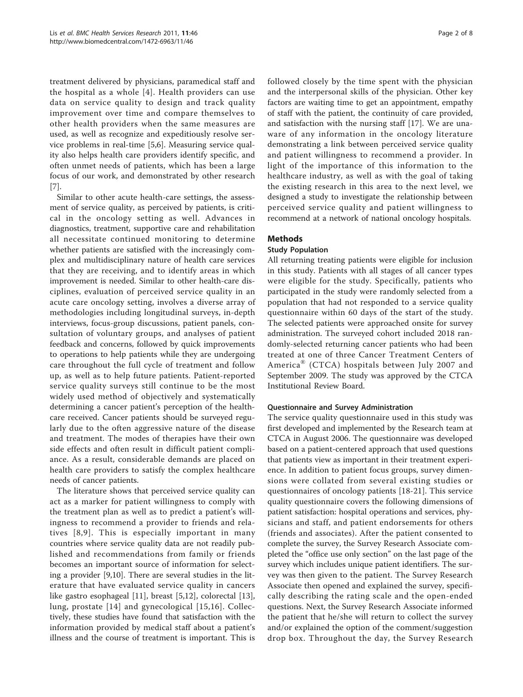treatment delivered by physicians, paramedical staff and the hospital as a whole [[4\]](#page-6-0). Health providers can use data on service quality to design and track quality improvement over time and compare themselves to other health providers when the same measures are used, as well as recognize and expeditiously resolve service problems in real-time [[5](#page-6-0),[6](#page-6-0)]. Measuring service quality also helps health care providers identify specific, and often unmet needs of patients, which has been a large focus of our work, and demonstrated by other research [[7\]](#page-6-0).

Similar to other acute health-care settings, the assessment of service quality, as perceived by patients, is critical in the oncology setting as well. Advances in diagnostics, treatment, supportive care and rehabilitation all necessitate continued monitoring to determine whether patients are satisfied with the increasingly complex and multidisciplinary nature of health care services that they are receiving, and to identify areas in which improvement is needed. Similar to other health-care disciplines, evaluation of perceived service quality in an acute care oncology setting, involves a diverse array of methodologies including longitudinal surveys, in-depth interviews, focus-group discussions, patient panels, consultation of voluntary groups, and analyses of patient feedback and concerns, followed by quick improvements to operations to help patients while they are undergoing care throughout the full cycle of treatment and follow up, as well as to help future patients. Patient-reported service quality surveys still continue to be the most widely used method of objectively and systematically determining a cancer patient's perception of the healthcare received. Cancer patients should be surveyed regularly due to the often aggressive nature of the disease and treatment. The modes of therapies have their own side effects and often result in difficult patient compliance. As a result, considerable demands are placed on health care providers to satisfy the complex healthcare needs of cancer patients.

The literature shows that perceived service quality can act as a marker for patient willingness to comply with the treatment plan as well as to predict a patient's willingness to recommend a provider to friends and relatives [[8](#page-6-0),[9](#page-6-0)]. This is especially important in many countries where service quality data are not readily published and recommendations from family or friends becomes an important source of information for selecting a provider [[9,10\]](#page-6-0). There are several studies in the literature that have evaluated service quality in cancers like gastro esophageal [[11\]](#page-6-0), breast [\[5](#page-6-0)[,12](#page-7-0)], colorectal [\[13](#page-7-0)], lung, prostate [[14\]](#page-7-0) and gynecological [[15](#page-7-0),[16](#page-7-0)]. Collectively, these studies have found that satisfaction with the information provided by medical staff about a patient's illness and the course of treatment is important. This is followed closely by the time spent with the physician and the interpersonal skills of the physician. Other key factors are waiting time to get an appointment, empathy of staff with the patient, the continuity of care provided, and satisfaction with the nursing staff [[17\]](#page-7-0). We are unaware of any information in the oncology literature demonstrating a link between perceived service quality and patient willingness to recommend a provider. In light of the importance of this information to the healthcare industry, as well as with the goal of taking the existing research in this area to the next level, we designed a study to investigate the relationship between perceived service quality and patient willingness to recommend at a network of national oncology hospitals.

## Methods

## Study Population

All returning treating patients were eligible for inclusion in this study. Patients with all stages of all cancer types were eligible for the study. Specifically, patients who participated in the study were randomly selected from a population that had not responded to a service quality questionnaire within 60 days of the start of the study. The selected patients were approached onsite for survey administration. The surveyed cohort included 2018 randomly-selected returning cancer patients who had been treated at one of three Cancer Treatment Centers of America® (CTCA) hospitals between July 2007 and September 2009. The study was approved by the CTCA Institutional Review Board.

## Questionnaire and Survey Administration

The service quality questionnaire used in this study was first developed and implemented by the Research team at CTCA in August 2006. The questionnaire was developed based on a patient-centered approach that used questions that patients view as important in their treatment experience. In addition to patient focus groups, survey dimensions were collated from several existing studies or questionnaires of oncology patients [\[18](#page-7-0)-[21\]](#page-7-0). This service quality questionnaire covers the following dimensions of patient satisfaction: hospital operations and services, physicians and staff, and patient endorsements for others (friends and associates). After the patient consented to complete the survey, the Survey Research Associate completed the "office use only section" on the last page of the survey which includes unique patient identifiers. The survey was then given to the patient. The Survey Research Associate then opened and explained the survey, specifically describing the rating scale and the open-ended questions. Next, the Survey Research Associate informed the patient that he/she will return to collect the survey and/or explained the option of the comment/suggestion drop box. Throughout the day, the Survey Research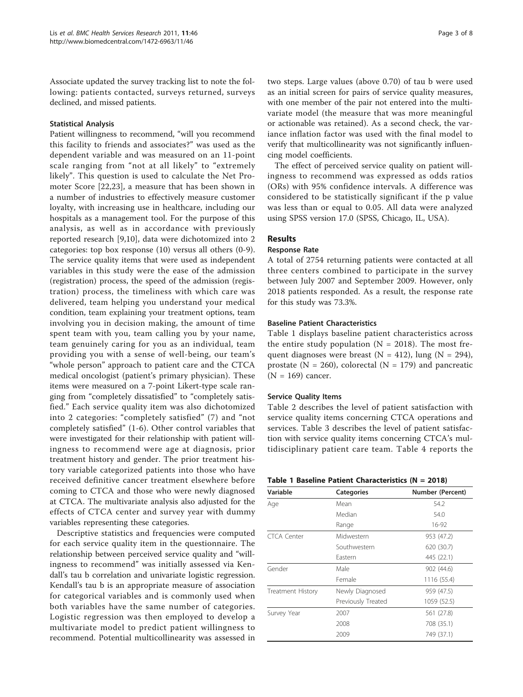Associate updated the survey tracking list to note the following: patients contacted, surveys returned, surveys declined, and missed patients.

#### Statistical Analysis

Patient willingness to recommend, "will you recommend this facility to friends and associates?" was used as the dependent variable and was measured on an 11-point scale ranging from "not at all likely" to "extremely likely". This question is used to calculate the Net Promoter Score [[22,23](#page-7-0)], a measure that has been shown in a number of industries to effectively measure customer loyalty, with increasing use in healthcare, including our hospitals as a management tool. For the purpose of this analysis, as well as in accordance with previously reported research [[9,10\]](#page-6-0), data were dichotomized into 2 categories: top box response (10) versus all others (0-9). The service quality items that were used as independent variables in this study were the ease of the admission (registration) process, the speed of the admission (registration) process, the timeliness with which care was delivered, team helping you understand your medical condition, team explaining your treatment options, team involving you in decision making, the amount of time spent team with you, team calling you by your name, team genuinely caring for you as an individual, team providing you with a sense of well-being, our team's "whole person" approach to patient care and the CTCA medical oncologist (patient's primary physician). These items were measured on a 7-point Likert-type scale ranging from "completely dissatisfied" to "completely satisfied." Each service quality item was also dichotomized into 2 categories: "completely satisfied" (7) and "not completely satisfied" (1-6). Other control variables that were investigated for their relationship with patient willingness to recommend were age at diagnosis, prior treatment history and gender. The prior treatment history variable categorized patients into those who have received definitive cancer treatment elsewhere before coming to CTCA and those who were newly diagnosed at CTCA. The multivariate analysis also adjusted for the effects of CTCA center and survey year with dummy variables representing these categories.

Descriptive statistics and frequencies were computed for each service quality item in the questionnaire. The relationship between perceived service quality and "willingness to recommend" was initially assessed via Kendall's tau b correlation and univariate logistic regression. Kendall's tau b is an appropriate measure of association for categorical variables and is commonly used when both variables have the same number of categories. Logistic regression was then employed to develop a multivariate model to predict patient willingness to recommend. Potential multicollinearity was assessed in

two steps. Large values (above 0.70) of tau b were used as an initial screen for pairs of service quality measures, with one member of the pair not entered into the multivariate model (the measure that was more meaningful or actionable was retained). As a second check, the variance inflation factor was used with the final model to verify that multicollinearity was not significantly influencing model coefficients.

The effect of perceived service quality on patient willingness to recommend was expressed as odds ratios (ORs) with 95% confidence intervals. A difference was considered to be statistically significant if the p value was less than or equal to 0.05. All data were analyzed using SPSS version 17.0 (SPSS, Chicago, IL, USA).

## **Results**

#### Response Rate

A total of 2754 returning patients were contacted at all three centers combined to participate in the survey between July 2007 and September 2009. However, only 2018 patients responded. As a result, the response rate for this study was 73.3%.

#### Baseline Patient Characteristics

Table 1 displays baseline patient characteristics across the entire study population ( $N = 2018$ ). The most frequent diagnoses were breast ( $N = 412$ ), lung ( $N = 294$ ), prostate ( $N = 260$ ), colorectal ( $N = 179$ ) and pancreatic  $(N = 169)$  cancer.

#### Service Quality Items

Table [2](#page-3-0) describes the level of patient satisfaction with service quality items concerning CTCA operations and services. Table [3](#page-3-0) describes the level of patient satisfaction with service quality items concerning CTCA's multidisciplinary patient care team. Table [4](#page-4-0) reports the

|  |  |  |  | Table 1 Baseline Patient Characteristics (N = 2018) |  |  |
|--|--|--|--|-----------------------------------------------------|--|--|
|--|--|--|--|-----------------------------------------------------|--|--|

| Variable                 | <b>Categories</b>  | Number (Percent) |
|--------------------------|--------------------|------------------|
| Age                      | Mean               | 54.2             |
|                          | Median             | 54.0             |
|                          | Range              | 16-92            |
| <b>CTCA</b> Center       | Midwestern         | 953 (47.2)       |
|                          | Southwestern       | 620 (30.7)       |
|                          | Fastern            | 445 (22.1)       |
| Gender                   | Male               | 902 (44.6)       |
|                          | Female             | 1116 (55.4)      |
| <b>Treatment History</b> | Newly Diagnosed    | 959 (47.5)       |
|                          | Previously Treated | 1059 (52.5)      |
| Survey Year              | 2007               | 561 (27.8)       |
|                          | 2008               | 708 (35.1)       |
|                          | 2009               | 749 (37.1)       |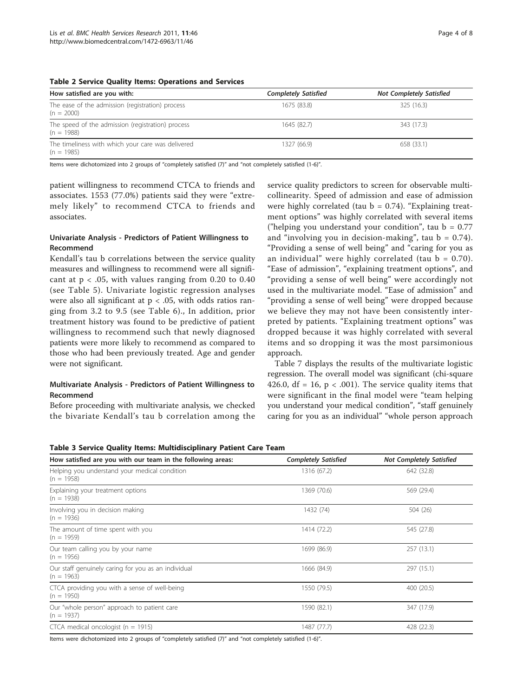| How satisfied are you with:                                       | <b>Completely Satisfied</b> | <b>Not Completely Satisfied</b> |  |
|-------------------------------------------------------------------|-----------------------------|---------------------------------|--|
| The ease of the admission (registration) process<br>$(n = 2000)$  | 1675 (83.8)                 | 325 (16.3)                      |  |
| The speed of the admission (registration) process<br>$(n = 1988)$ | 1645 (82.7)                 | 343 (17.3)                      |  |
| The timeliness with which your care was delivered<br>$(n = 1985)$ | 1327 (66.9)                 | 658 (33.1)                      |  |

#### <span id="page-3-0"></span>Table 2 Service Quality Items: Operations and Services

Items were dichotomized into 2 groups of "completely satisfied (7)" and "not completely satisfied (1-6)".

patient willingness to recommend CTCA to friends and associates. 1553 (77.0%) patients said they were "extremely likely" to recommend CTCA to friends and associates.

## Univariate Analysis - Predictors of Patient Willingness to Recommend

Kendall's tau b correlations between the service quality measures and willingness to recommend were all significant at  $p < .05$ , with values ranging from 0.20 to 0.40 (see Table [5](#page-4-0)). Univariate logistic regression analyses were also all significant at  $p < .05$ , with odds ratios ranging from 3.2 to 9.5 (see Table [6](#page-4-0))., In addition, prior treatment history was found to be predictive of patient willingness to recommend such that newly diagnosed patients were more likely to recommend as compared to those who had been previously treated. Age and gender were not significant.

## Multivariate Analysis - Predictors of Patient Willingness to Recommend

Before proceeding with multivariate analysis, we checked the bivariate Kendall's tau b correlation among the

service quality predictors to screen for observable multicollinearity. Speed of admission and ease of admission were highly correlated (tau  $b = 0.74$ ). "Explaining treatment options" was highly correlated with several items ("helping you understand your condition", tau  $b = 0.77$ and "involving you in decision-making", tau  $b = 0.74$ ). "Providing a sense of well being" and "caring for you as an individual" were highly correlated (tau  $b = 0.70$ ). "Ease of admission", "explaining treatment options", and "providing a sense of well being" were accordingly not used in the multivariate model. "Ease of admission" and "providing a sense of well being" were dropped because we believe they may not have been consistently interpreted by patients. "Explaining treatment options" was dropped because it was highly correlated with several items and so dropping it was the most parsimonious approach.

Table [7](#page-5-0) displays the results of the multivariate logistic regression. The overall model was significant (chi-square 426.0, df = 16,  $p < .001$ ). The service quality items that were significant in the final model were "team helping you understand your medical condition", "staff genuinely caring for you as an individual" "whole person approach

#### Table 3 Service Quality Items: Multidisciplinary Patient Care Team

| How satisfied are you with our team in the following areas:         | <b>Completely Satisfied</b> | <b>Not Completely Satisfied</b> |  |
|---------------------------------------------------------------------|-----------------------------|---------------------------------|--|
| Helping you understand your medical condition<br>$(n = 1958)$       | 1316 (67.2)                 | 642 (32.8)                      |  |
| Explaining your treatment options<br>$(n = 1938)$                   | 1369 (70.6)                 | 569 (29.4)                      |  |
| Involving you in decision making<br>$(n = 1936)$                    | 1432 (74)                   | 504 (26)                        |  |
| The amount of time spent with you<br>$(n = 1959)$                   | 1414 (72.2)                 | 545 (27.8)                      |  |
| Our team calling you by your name<br>$(n = 1956)$                   | 1699 (86.9)                 | 257(13.1)                       |  |
| Our staff genuinely caring for you as an individual<br>$(n = 1963)$ | 1666 (84.9)                 | 297 (15.1)                      |  |
| CTCA providing you with a sense of well-being<br>$(n = 1950)$       | 1550 (79.5)                 | 400 (20.5)                      |  |
| Our "whole person" approach to patient care<br>$(n = 1937)$         | 1590 (82.1)                 | 347 (17.9)                      |  |
| CTCA medical oncologist ( $n = 1915$ )                              | 1487 (77.7)                 | 428 (22.3)                      |  |

Items were dichotomized into 2 groups of "completely satisfied (7)" and "not completely satisfied (1-6)".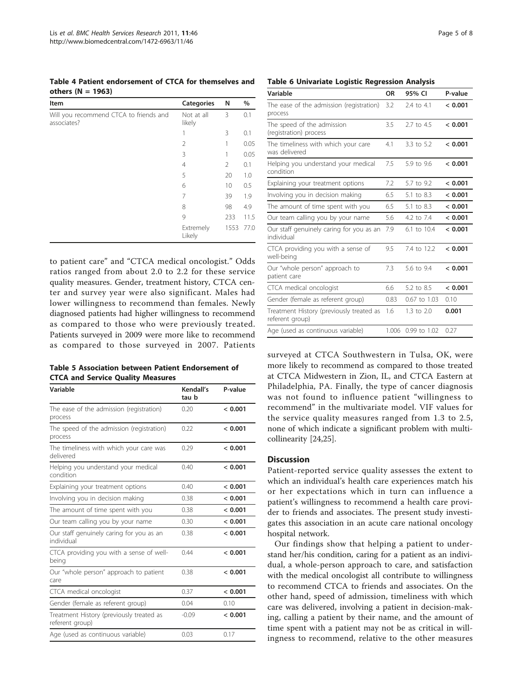<span id="page-4-0"></span>Table 4 Patient endorsement of CTCA for themselves and others  $(N = 1963)$ 

| Item                                                  | Categories           | N    | %    |
|-------------------------------------------------------|----------------------|------|------|
| Will you recommend CTCA to friends and<br>associates? | Not at all<br>likely | 3    | 0.1  |
|                                                       | 1                    | 3    | 0.1  |
|                                                       | 2                    | 1    | 0.05 |
|                                                       | 3                    | 1    | 0.05 |
|                                                       | $\overline{4}$       | 2    | 0.1  |
|                                                       | 5                    | 20   | 1.0  |
|                                                       | 6                    | 10   | 0.5  |
|                                                       | 7                    | 39   | 1.9  |
|                                                       | 8                    | 98   | 4.9  |
|                                                       | 9                    | 233  | 11.5 |
|                                                       | Extremely<br>Likely  | 1553 | 77.0 |

to patient care" and "CTCA medical oncologist." Odds ratios ranged from about 2.0 to 2.2 for these service quality measures. Gender, treatment history, CTCA center and survey year were also significant. Males had lower willingness to recommend than females. Newly diagnosed patients had higher willingness to recommend as compared to those who were previously treated. Patients surveyed in 2009 were more like to recommend as compared to those surveyed in 2007. Patients

|                                          |  | Table 5 Association between Patient Endorsement of |
|------------------------------------------|--|----------------------------------------------------|
| <b>CTCA and Service Quality Measures</b> |  |                                                    |

| Variable                                                    | Kendall's<br>tau b | P-value |
|-------------------------------------------------------------|--------------------|---------|
| The ease of the admission (registration)<br>process         | 0.20               | < 0.001 |
| The speed of the admission (registration)<br>process        | 0.22               | < 0.001 |
| The timeliness with which your care was<br>delivered        | 0.29               | < 0.001 |
| Helping you understand your medical<br>condition            | 0.40               | < 0.001 |
| Explaining your treatment options                           | 0.40               | < 0.001 |
| Involving you in decision making                            | 0.38               | < 0.001 |
| The amount of time spent with you                           | 0.38               | < 0.001 |
| Our team calling you by your name                           | 0.30               | < 0.001 |
| Our staff genuinely caring for you as an<br>individual      | 0.38               | < 0.001 |
| CTCA providing you with a sense of well-<br>being           | 0.44               | < 0.001 |
| Our "whole person" approach to patient<br>care              | 0.38               | < 0.001 |
| CTCA medical oncologist                                     | 0.37               | < 0.001 |
| Gender (female as referent group)                           | 0.04               | 0.10    |
| Treatment History (previously treated as<br>referent group) | $-0.09$            | < 0.001 |
| Age (used as continuous variable)                           | 0.03               | 0.17    |

|  |  |  | Table 6 Univariate Logistic Regression Analysis |  |
|--|--|--|-------------------------------------------------|--|
|--|--|--|-------------------------------------------------|--|

| Variable                                                    | <b>OR</b> | 95% CI           | P-value |
|-------------------------------------------------------------|-----------|------------------|---------|
| The ease of the admission (registration)<br>process         | 3.2       | 2.4 to 4.1       | < 0.001 |
| The speed of the admission<br>(registration) process        | 3.5       | $2.7$ to $4.5$   | < 0.001 |
| The timeliness with which your care<br>was delivered        | 4.1       | 3.3 to 5.2       | < 0.001 |
| Helping you understand your medical<br>condition            | 7.5       | 5.9 to 9.6       | < 0.001 |
| Explaining your treatment options                           | 7.2       | 5.7 to 9.2       | < 0.001 |
| Involving you in decision making                            | 6.5       | 5.1 to $8.3$     | < 0.001 |
| The amount of time spent with you                           | 6.5       | 5.1 to $8.3$     | < 0.001 |
| Our team calling you by your name                           | 5.6       | 4.2 to 7.4       | < 0.001 |
| Our staff genuinely caring for you as an<br>individual      | 7.9       | 6.1 to 10.4      | < 0.001 |
| CTCA providing you with a sense of<br>well-being            | 9.5       | 7.4 to 12.2      | < 0.001 |
| Our "whole person" approach to<br>patient care              | 7.3       | 5.6 to 9.4       | < 0.001 |
| CTCA medical oncologist                                     | 6.6       | 5.2 to 8.5       | < 0.001 |
| Gender (female as referent group)                           | 0.83      | $0.67$ to $1.03$ | 0.10    |
| Treatment History (previously treated as<br>referent group) | 1.6       | 1.3 to 2.0       | 0.001   |
| Age (used as continuous variable)                           | 1.006     | 0.99 to 1.02     | 0.27    |

surveyed at CTCA Southwestern in Tulsa, OK, were more likely to recommend as compared to those treated at CTCA Midwestern in Zion, IL, and CTCA Eastern at Philadelphia, PA. Finally, the type of cancer diagnosis was not found to influence patient "willingness to recommend" in the multivariate model. VIF values for the service quality measures ranged from 1.3 to 2.5, none of which indicate a significant problem with multicollinearity [\[24,25\]](#page-7-0).

#### **Discussion**

Patient-reported service quality assesses the extent to which an individual's health care experiences match his or her expectations which in turn can influence a patient's willingness to recommend a health care provider to friends and associates. The present study investigates this association in an acute care national oncology hospital network.

Our findings show that helping a patient to understand her/his condition, caring for a patient as an individual, a whole-person approach to care, and satisfaction with the medical oncologist all contribute to willingness to recommend CTCA to friends and associates. On the other hand, speed of admission, timeliness with which care was delivered, involving a patient in decision-making, calling a patient by their name, and the amount of time spent with a patient may not be as critical in willingness to recommend, relative to the other measures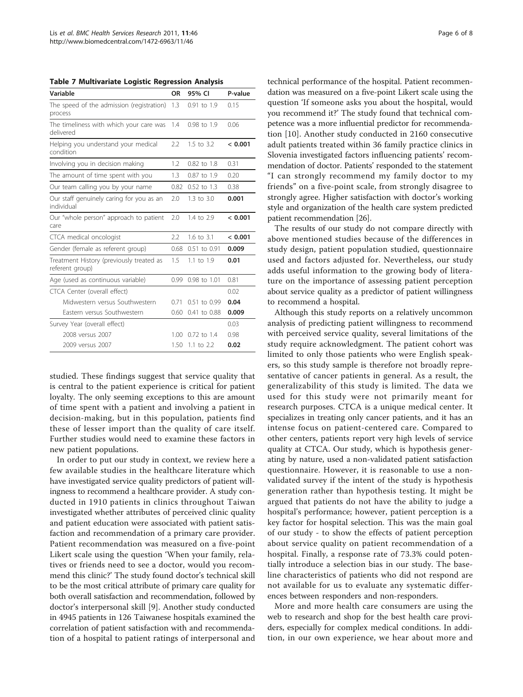<span id="page-5-0"></span>Table 7 Multivariate Logistic Regression Analysis

| Variable                                                    | OR   | 95% CI                | P-value |
|-------------------------------------------------------------|------|-----------------------|---------|
| The speed of the admission (registration)<br>process        | 1.3  | 0.91 to 1.9           | 0.15    |
| The timeliness with which your care was<br>delivered        | 1.4  | 0.98 to 1.9           | 0.06    |
| Helping you understand your medical<br>condition            | 2.2  | $1.5 \text{ to } 3.2$ | < 0.001 |
| Involving you in decision making                            | 1.2  | $0.82$ to $1.8$       | 0.31    |
| The amount of time spent with you                           | 1.3  | $0.87$ to $1.9$       | 0.20    |
| Our team calling you by your name                           | 0.82 | $0.52$ to 1.3         | 0.38    |
| Our staff genuinely caring for you as an<br>individual      | 2.0  | 1.3 to 3.0            | 0.001   |
| Our "whole person" approach to patient<br>care              | 2.0  | 1.4 to 2.9            | < 0.001 |
| CTCA medical oncologist                                     | 2.2  | $1.6 \text{ to } 3.1$ | < 0.001 |
| Gender (female as referent group)                           | 0.68 | 0.51 to 0.91          | 0.009   |
| Treatment History (previously treated as<br>referent group) | 1.5  | $1.1$ to $1.9$        | 0.01    |
| Age (used as continuous variable)                           | 0.99 | $0.98$ to $1.01$      | 0.81    |
| CTCA Center (overall effect)                                |      |                       | 0.02    |
| Midwestern versus Southwestern                              | 0.71 | 0.51 to 0.99          | 0.04    |
| Eastern versus Southwestern                                 | 0.60 | 0.41 to 0.88          | 0.009   |
| Survey Year (overall effect)                                |      |                       | 0.03    |
| 2008 versus 2007                                            | 1.00 | $0.72$ to 1.4         | 0.98    |
| 2009 versus 2007                                            | 1.50 | 1.1 to $2.2$          | 0.02    |

studied. These findings suggest that service quality that is central to the patient experience is critical for patient loyalty. The only seeming exceptions to this are amount of time spent with a patient and involving a patient in decision-making, but in this population, patients find these of lesser import than the quality of care itself. Further studies would need to examine these factors in new patient populations.

In order to put our study in context, we review here a few available studies in the healthcare literature which have investigated service quality predictors of patient willingness to recommend a healthcare provider. A study conducted in 1910 patients in clinics throughout Taiwan investigated whether attributes of perceived clinic quality and patient education were associated with patient satisfaction and recommendation of a primary care provider. Patient recommendation was measured on a five-point Likert scale using the question 'When your family, relatives or friends need to see a doctor, would you recommend this clinic?' The study found doctor's technical skill to be the most critical attribute of primary care quality for both overall satisfaction and recommendation, followed by doctor's interpersonal skill [\[9](#page-6-0)]. Another study conducted in 4945 patients in 126 Taiwanese hospitals examined the correlation of patient satisfaction with and recommendation of a hospital to patient ratings of interpersonal and

technical performance of the hospital. Patient recommendation was measured on a five-point Likert scale using the question 'If someone asks you about the hospital, would you recommend it?' The study found that technical competence was a more influential predictor for recommendation [[10\]](#page-6-0). Another study conducted in 2160 consecutive adult patients treated within 36 family practice clinics in Slovenia investigated factors influencing patients' recommendation of doctor. Patients' responded to the statement "I can strongly recommend my family doctor to my friends" on a five-point scale, from strongly disagree to strongly agree. Higher satisfaction with doctor's working style and organization of the health care system predicted patient recommendation [[26](#page-7-0)].

The results of our study do not compare directly with above mentioned studies because of the differences in study design, patient population studied, questionnaire used and factors adjusted for. Nevertheless, our study adds useful information to the growing body of literature on the importance of assessing patient perception about service quality as a predictor of patient willingness to recommend a hospital.

Although this study reports on a relatively uncommon analysis of predicting patient willingness to recommend with perceived service quality, several limitations of the study require acknowledgment. The patient cohort was limited to only those patients who were English speakers, so this study sample is therefore not broadly representative of cancer patients in general. As a result, the generalizability of this study is limited. The data we used for this study were not primarily meant for research purposes. CTCA is a unique medical center. It specializes in treating only cancer patients, and it has an intense focus on patient-centered care. Compared to other centers, patients report very high levels of service quality at CTCA. Our study, which is hypothesis generating by nature, used a non-validated patient satisfaction questionnaire. However, it is reasonable to use a nonvalidated survey if the intent of the study is hypothesis generation rather than hypothesis testing. It might be argued that patients do not have the ability to judge a hospital's performance; however, patient perception is a key factor for hospital selection. This was the main goal of our study - to show the effects of patient perception about service quality on patient recommendation of a hospital. Finally, a response rate of 73.3% could potentially introduce a selection bias in our study. The baseline characteristics of patients who did not respond are not available for us to evaluate any systematic differences between responders and non-responders.

More and more health care consumers are using the web to research and shop for the best health care providers, especially for complex medical conditions. In addition, in our own experience, we hear about more and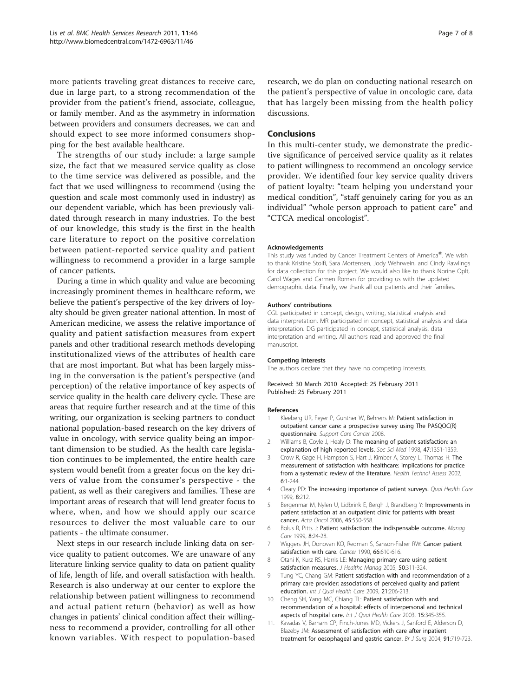<span id="page-6-0"></span>more patients traveling great distances to receive care, due in large part, to a strong recommendation of the provider from the patient's friend, associate, colleague, or family member. And as the asymmetry in information between providers and consumers decreases, we can and should expect to see more informed consumers shopping for the best available healthcare.

The strengths of our study include: a large sample size, the fact that we measured service quality as close to the time service was delivered as possible, and the fact that we used willingness to recommend (using the question and scale most commonly used in industry) as our dependent variable, which has been previously validated through research in many industries. To the best of our knowledge, this study is the first in the health care literature to report on the positive correlation between patient-reported service quality and patient willingness to recommend a provider in a large sample of cancer patients.

During a time in which quality and value are becoming increasingly prominent themes in healthcare reform, we believe the patient's perspective of the key drivers of loyalty should be given greater national attention. In most of American medicine, we assess the relative importance of quality and patient satisfaction measures from expert panels and other traditional research methods developing institutionalized views of the attributes of health care that are most important. But what has been largely missing in the conversation is the patient's perspective (and perception) of the relative importance of key aspects of service quality in the health care delivery cycle. These are areas that require further research and at the time of this writing, our organization is seeking partners to conduct national population-based research on the key drivers of value in oncology, with service quality being an important dimension to be studied. As the health care legislation continues to be implemented, the entire health care system would benefit from a greater focus on the key drivers of value from the consumer's perspective - the patient, as well as their caregivers and families. These are important areas of research that will lend greater focus to where, when, and how we should apply our scarce resources to deliver the most valuable care to our patients - the ultimate consumer.

Next steps in our research include linking data on service quality to patient outcomes. We are unaware of any literature linking service quality to data on patient quality of life, length of life, and overall satisfaction with health. Research is also underway at our center to explore the relationship between patient willingness to recommend and actual patient return (behavior) as well as how changes in patients' clinical condition affect their willingness to recommend a provider, controlling for all other known variables. With respect to population-based

research, we do plan on conducting national research on the patient's perspective of value in oncologic care, data that has largely been missing from the health policy discussions.

#### Conclusions

In this multi-center study, we demonstrate the predictive significance of perceived service quality as it relates to patient willingness to recommend an oncology service provider. We identified four key service quality drivers of patient loyalty: "team helping you understand your medical condition", "staff genuinely caring for you as an individual" "whole person approach to patient care" and "CTCA medical oncologist".

#### Acknowledgements

This study was funded by Cancer Treatment Centers of America®. We wish to thank Kristine Stolfi, Sara Mortensen, Jody Wehrwein, and Cindy Rawlings for data collection for this project. We would also like to thank Norine Oplt, Carol Wages and Carmen Roman for providing us with the updated demographic data. Finally, we thank all our patients and their families.

#### Authors' contributions

CGL participated in concept, design, writing, statistical analysis and data interpretation. MR participated in concept, statistical analysis and data interpretation. DG participated in concept, statistical analysis, data interpretation and writing. All authors read and approved the final manuscript.

#### Competing interests

The authors declare that they have no competing interests.

#### Received: 30 March 2010 Accepted: 25 February 2011 Published: 25 February 2011

#### References

- 1. Kleeberg UR, Feyer P, Gunther W, Behrens M: Patient satisfaction in outpatient cancer care: a prospective survey using The PASQOC(R) questionnaire. Support Care Cancer 2008.
- 2. Williams B, Coyle J, Healy D: [The meaning of patient satisfaction: an](http://www.ncbi.nlm.nih.gov/pubmed/9783878?dopt=Abstract) [explanation of high reported levels.](http://www.ncbi.nlm.nih.gov/pubmed/9783878?dopt=Abstract) Soc Sci Med 1998, 47:1351-1359.
- 3. Crow R, Gage H, Hampson S, Hart J, Kimber A, Storey L, Thomas H: [The](http://www.ncbi.nlm.nih.gov/pubmed/12925269?dopt=Abstract) [measurement of satisfaction with healthcare: implications for practice](http://www.ncbi.nlm.nih.gov/pubmed/12925269?dopt=Abstract) [from a systematic review of the literature.](http://www.ncbi.nlm.nih.gov/pubmed/12925269?dopt=Abstract) Health Technol Assess 2002, 6:1-244.
- 4. Cleary PD: [The increasing importance of patient surveys.](http://www.ncbi.nlm.nih.gov/pubmed/10847881?dopt=Abstract) Qual Health Care 1999, 8:212.
- 5. Bergenmar M, Nylen U, Lidbrink E, Bergh J, Brandberg Y: [Improvements in](http://www.ncbi.nlm.nih.gov/pubmed/16864168?dopt=Abstract) [patient satisfaction at an outpatient clinic for patients with breast](http://www.ncbi.nlm.nih.gov/pubmed/16864168?dopt=Abstract) [cancer.](http://www.ncbi.nlm.nih.gov/pubmed/16864168?dopt=Abstract) Acta Oncol 2006, 45:550-558.
- 6. Bolus R, Pitts J: [Patient satisfaction: the indispensable outcome.](http://www.ncbi.nlm.nih.gov/pubmed/10387373?dopt=Abstract) Manag Care 1999, 8:24-28.
- 7. Wiggers JH, Donovan KO, Redman S, Sanson-Fisher RW: [Cancer patient](http://www.ncbi.nlm.nih.gov/pubmed/2364373?dopt=Abstract) [satisfaction with care.](http://www.ncbi.nlm.nih.gov/pubmed/2364373?dopt=Abstract) Cancer 1990, 66:610-616.
- 8. Otani K, Kurz RS, Harris LE: [Managing primary care using patient](http://www.ncbi.nlm.nih.gov/pubmed/16268410?dopt=Abstract) [satisfaction measures.](http://www.ncbi.nlm.nih.gov/pubmed/16268410?dopt=Abstract) J Healthc Manag 2005, 50:311-324.
- 9. Tung YC, Chang GM: [Patient satisfaction with and recommendation of a](http://www.ncbi.nlm.nih.gov/pubmed/19258342?dopt=Abstract) [primary care provider: associations of perceived quality and patient](http://www.ncbi.nlm.nih.gov/pubmed/19258342?dopt=Abstract) [education.](http://www.ncbi.nlm.nih.gov/pubmed/19258342?dopt=Abstract) Int J Qual Health Care 2009, 21:206-213.
- 10. Cheng SH, Yang MC, Chiang TL: [Patient satisfaction with and](http://www.ncbi.nlm.nih.gov/pubmed/12930050?dopt=Abstract) [recommendation of a hospital: effects of interpersonal and technical](http://www.ncbi.nlm.nih.gov/pubmed/12930050?dopt=Abstract) [aspects of hospital care.](http://www.ncbi.nlm.nih.gov/pubmed/12930050?dopt=Abstract) Int J Qual Health Care 2003, 15:345-355.
- 11. Kavadas V, Barham CP, Finch-Jones MD, Vickers J, Sanford E, Alderson D, Blazeby JM: [Assessment of satisfaction with care after inpatient](http://www.ncbi.nlm.nih.gov/pubmed/15164441?dopt=Abstract) [treatment for oesophageal and gastric cancer.](http://www.ncbi.nlm.nih.gov/pubmed/15164441?dopt=Abstract) Br J Surg 2004, 91:719-723.